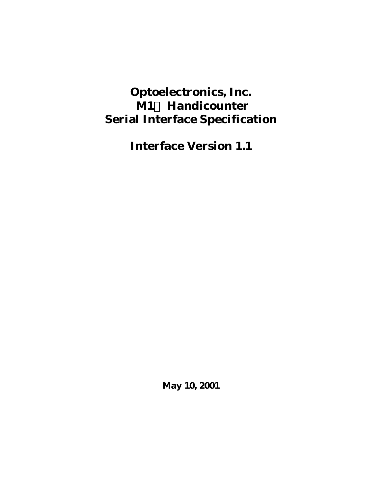# **Optoelectronics, Inc. M1Ô Handicounter Serial Interface Specification**

**Interface Version 1.1**

**May 10, 2001**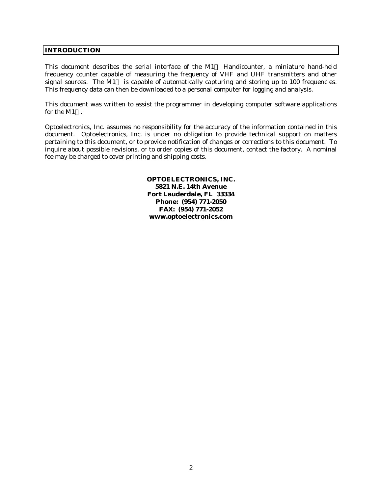## **INTRODUCTION**

This document describes the serial interface of the  $M1^{TM}$  Handicounter, a miniature hand-held frequency counter capable of measuring the frequency of VHF and UHF transmitters and other signal sources. The  $M1^{\text{m}}$  is capable of automatically capturing and storing up to 100 frequencies. This frequency data can then be downloaded to a personal computer for logging and analysis.

This document was written to assist the programmer in developing computer software applications for the  $M1^{TM}$ .

Optoelectronics, Inc. assumes no responsibility for the accuracy of the information contained in this document. Optoelectronics, Inc. is under no obligation to provide technical support on matters pertaining to this document, or to provide notification of changes or corrections to this document. To inquire about possible revisions, or to order copies of this document, contact the factory. A nominal fee may be charged to cover printing and shipping costs.

> **OPTOELECTRONICS, INC. 5821 N.E. 14th Avenue Fort Lauderdale, FL 33334 Phone: (954) 771-2050 FAX: (954) 771-2052 www.optoelectronics.com**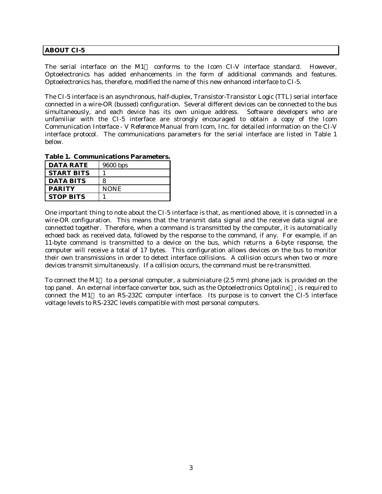## **ABOUT CI-5**

The serial interface on the  $M1^{TM}$  conforms to the Icom CI-V interface standard. However, Optoelectronics has added enhancements in the form of additional commands and features. Optoelectronics has, therefore, modified the name of this new enhanced interface to CI-5.

The CI-5 interface is an asynchronous, half-duplex, Transistor-Transistor Logic (TTL) serial interface connected in a wire-OR (bussed) configuration. Several different devices can be connected to the bus simultaneously, and each device has its own unique address. Software developers who are unfamiliar with the CI-5 interface are strongly encouraged to obtain a copy of the *Icom Communication Interface - V Reference Manual* from Icom, Inc. for detailed information on the CI-V interface protocol. The communications parameters for the serial interface are listed in Table 1 below.

**Table 1. Communications Parameters.**

| <b>DATA RATE</b>  | 9600 bps    |
|-------------------|-------------|
| <b>START BITS</b> |             |
| <b>DATA BITS</b>  | 8           |
| <b>PARITY</b>     | <b>NONE</b> |
| <b>STOP BITS</b>  |             |

One important thing to note about the CI-5 interface is that, as mentioned above, it is connected in a wire-OR configuration. This means that the transmit data signal and the receive data signal are connected together. Therefore, when a command is transmitted by the computer, it is automatically echoed back as received data, followed by the response to the command, if any. For example, if an 11-byte command is transmitted to a device on the bus, which returns a 6-byte response, the computer will receive a total of 17 bytes. This configuration allows devices on the bus to monitor their own transmissions in order to detect interface collisions. A collision occurs when two or more devices transmit simultaneously. If a collision occurs, the command must be re-transmitted.

To connect the M1<sup>TM</sup> to a personal computer, a subminiature (2.5 mm) phone jack is provided on the top panel. An external interface converter box, such as the Optoelectronics Optolinx $\mathbb{I}^{\mathbb{M}}$ , is required to connect the M1<sup> $m$ </sup> to an RS-232C computer interface. Its purpose is to convert the CI-5 interface voltage levels to RS-232C levels compatible with most personal computers.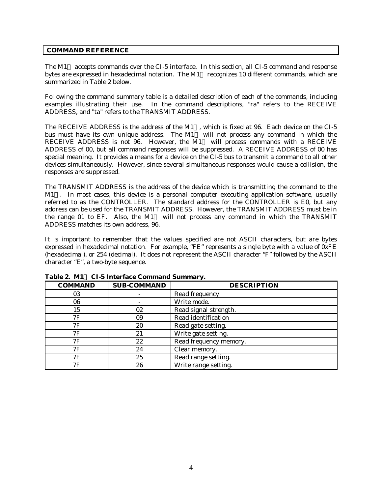## **COMMAND REFERENCE**

The  $M1<sup>m</sup>$  accepts commands over the CI-5 interface. In this section, all CI-5 command and response bytes are expressed in hexadecimal notation. The  $M1^{TM}$  recognizes 10 different commands, which are summarized in Table 2 below.

Following the command summary table is a detailed description of each of the commands, including examples illustrating their use. In the command descriptions, "ra" refers to the RECEIVE ADDRESS, and "ta" refers to the TRANSMIT ADDRESS.

The RECEIVE ADDRESS is the address of the  $M1^{m}$ , which is fixed at 96. Each device on the CI-5 bus must have its own unique address. The  $M1^M$  will not process any command in which the RECEIVE ADDRESS is not 96. However, the M1<sup>TM</sup> will process commands with a RECEIVE ADDRESS of 00, but all command responses will be suppressed. A RECEIVE ADDRESS of 00 has special meaning. It provides a means for a device on the CI-5 bus to transmit a command to all other devices simultaneously. However, since several simultaneous responses would cause a collision, the responses are suppressed.

The TRANSMIT ADDRESS is the address of the device which is transmitting the command to the  $M1^{TM}$ . In most cases, this device is a personal computer executing application software, usually referred to as the CONTROLLER. The standard address for the CONTROLLER is E0, but any address can be used for the TRANSMIT ADDRESS. However, the TRANSMIT ADDRESS must be in the range 01 to EF. Also, the M1<sup>TM</sup> will not process any command in which the TRANSMIT ADDRESS matches its own address, 96.

It is important to remember that the values specified are not ASCII characters, but are bytes expressed in hexadecimal notation. For example, "FE" represents a single byte with a value of 0xFE (hexadecimal), or 254 (decimal). It does not represent the ASCII character "F" followed by the ASCII character "E", a two-byte sequence.

| <b>COMMAND</b> | <b>SUB-COMMAND</b> | <b>DESCRIPTION</b>     |
|----------------|--------------------|------------------------|
| 03             |                    | Read frequency.        |
| 06             |                    | Write mode.            |
| 15             | 02                 | Read signal strength.  |
| 7F             | 09                 | Read identification    |
| 7F             | 20                 | Read gate setting.     |
| 7F             | 21                 | Write gate setting.    |
| 7F             | 22                 | Read frequency memory. |
| 7F             | 24                 | Clear memory.          |
| 7F             | 25                 | Read range setting.    |
| 7F             | 26                 | Write range setting.   |

# **Table 2. M1Ô CI-5 Interface Command Summary.**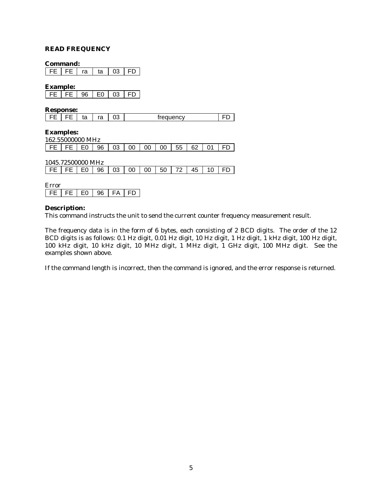#### **READ FREQUENCY**

#### **Command:**

FE FE ra ta 03 FD

**Example:**

|  | റഭ<br>ЭC | -^ | ^^<br>Æ | ┍<br>– |
|--|----------|----|---------|--------|

**Response:**

| าว<br>ro<br>trequency<br>÷۰<br>ιa<br>ົ |
|----------------------------------------|
|----------------------------------------|

**Examples:** 162.55000000 MHz

| <b>TO COOL IN LITTLE</b> |  |  |  |                                     |  |  |  |  |  |  |  |
|--------------------------|--|--|--|-------------------------------------|--|--|--|--|--|--|--|
|                          |  |  |  | FE FE E0 96 03 00 00 00 55 62 01 FD |  |  |  |  |  |  |  |

| 1045.72500000 MHz |  |  |  |  |                                     |  |
|-------------------|--|--|--|--|-------------------------------------|--|
|                   |  |  |  |  | FE FE E0 96 03 00 00 50 72 45 10 FD |  |

| ∀.rror - |      |     |     |     |  |
|----------|------|-----|-----|-----|--|
| ᄂᄂ       | EE L | F۵. | ୍ରମ | FA. |  |

#### **Description:**

This command instructs the unit to send the current counter frequency measurement result.

The frequency data is in the form of 6 bytes, each consisting of 2 BCD digits. The order of the 12 BCD digits is as follows: 0.1 Hz digit, 0.01 Hz digit, 10 Hz digit, 1 Hz digit, 1 kHz digit, 100 Hz digit, 100 kHz digit, 10 kHz digit, 10 MHz digit, 1 MHz digit, 1 GHz digit, 100 MHz digit. See the examples shown above.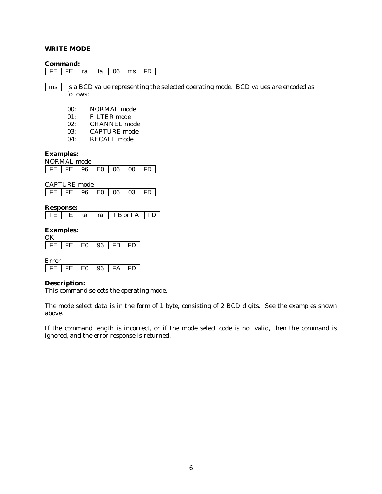## **WRITE MODE**

#### **Command:**

 $FE$   $Fe$   $ra$   $ta$   $06$   $ms$   $FD$ 

is a BCD value representing the selected operating mode. BCD values are encoded as follows: ms

- 00: NORMAL mode
- 01: FILTER mode
- 02: CHANNEL mode
- 03: CAPTURE mode
- 04: RECALL mode

# **Examples:**

|       |      | NORMAL mode |                 |  |       |  |  |  |  |
|-------|------|-------------|-----------------|--|-------|--|--|--|--|
| EE LL | - 96 |             | $E_0$ $06$ $00$ |  | - ED. |  |  |  |  |

CAPTURE mode

| FE 1 96 | E0 06 03 |  |  | I FD |  |
|---------|----------|--|--|------|--|
|---------|----------|--|--|------|--|

#### **Response:**

 $FE$  FE  $t$  ta  $ra$  FB or FA FD

#### **Examples:**

| FF. | - FE 11 | F۵. | FB - | FD |
|-----|---------|-----|------|----|

Error  $FE$  FE E0 96 FA FD

#### **Description:**

This command selects the operating mode.

The mode select data is in the form of 1 byte, consisting of 2 BCD digits. See the examples shown above.

If the command length is incorrect, or if the mode select code is not valid, then the command is ignored, and the error response is returned.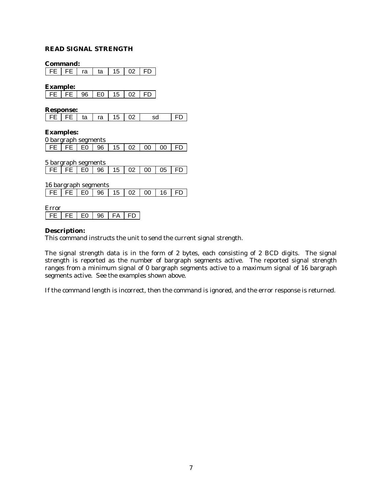# **READ SIGNAL STRENGTH**

**Command:**

FE FE ra ta 15 02 FD

**Example:**

| $\mathsf{I}$ | $FE$   $FE$   $96$ | I EO | 15 | 02 |  |
|--------------|--------------------|------|----|----|--|

**Response:**

| FE   FE   ta   ra   15   02 |  |  |  |  |  | sd |  |
|-----------------------------|--|--|--|--|--|----|--|
|-----------------------------|--|--|--|--|--|----|--|

**Examples:**

|  | 0 bargraph segments |  |                           |  |  |
|--|---------------------|--|---------------------------|--|--|
|  |                     |  | FE FE E0 96 1502 00 00 FD |  |  |

5 bargraph segments FE FE E0 96 15 02 00 05 FD

16 bargraph segments FE FE E0 96 15 02 00 16 FD

Error  $FE$  FE E0 96 FA FD

#### **Description:**

This command instructs the unit to send the current signal strength.

The signal strength data is in the form of 2 bytes, each consisting of 2 BCD digits. The signal strength is reported as the number of bargraph segments active. The reported signal strength ranges from a minimum signal of 0 bargraph segments active to a maximum signal of 16 bargraph segments active. See the examples shown above.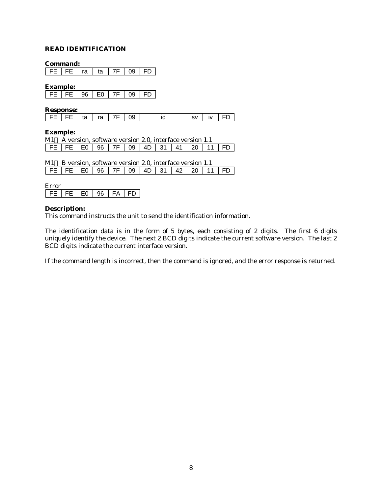# **READ IDENTIFICATION**

**Command:**

FE FE ra ta 7F 09 FD

**Example:**

|  | $\overline{c}$ $\overline{c}$   96   $\overline{c}$ | 7F I | -09 |  |
|--|-----------------------------------------------------|------|-----|--|

**Response:**

| FE   FE   ta   ra   7F   09           id |  | $ sv $ iv $ FD $ |  |
|------------------------------------------|--|------------------|--|
|------------------------------------------|--|------------------|--|

#### **Example:**

|  |  |  |  |  | M1™ A version, software version 2.0, interface version 1.1 |  |
|--|--|--|--|--|------------------------------------------------------------|--|
|  |  |  |  |  | $FE$ FE FE GO 96 7F 09 4D 31 41 20 11 FD                   |  |

| M1™ B version, software version 2.0, interface version 1.1 |  |  |  |  |  |  |  |  |  |                                     |  |  |
|------------------------------------------------------------|--|--|--|--|--|--|--|--|--|-------------------------------------|--|--|
|                                                            |  |  |  |  |  |  |  |  |  | FE FE E0 96 7F 09 4D 31 42 20 11 FD |  |  |

| ∵rror |       |    |    |   |
|-------|-------|----|----|---|
| 5 L L | . E F | ∟∩ | FΔ | ⊢ |

#### **Description:**

This command instructs the unit to send the identification information.

The identification data is in the form of 5 bytes, each consisting of 2 digits. The first 6 digits uniquely identify the device. The next 2 BCD digits indicate the current software version. The last 2 BCD digits indicate the current interface version.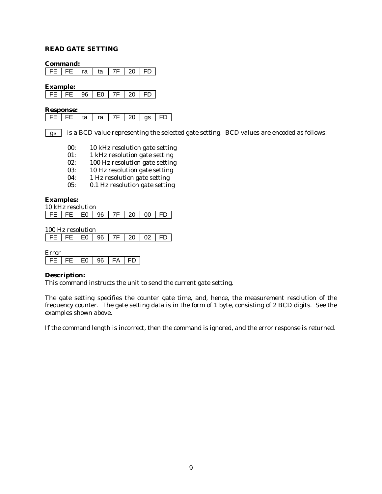# **READ GATE SETTING**

**Command:**

FE FE ra ta 7F 20 FD

**Example:**

|  | -96 L | F۵ | . — 7 Г | -20 |  |
|--|-------|----|---------|-----|--|

**Response:**

| FE   FE   ta   ra   7F   20   gs   FD |  |  |  |
|---------------------------------------|--|--|--|
|                                       |  |  |  |

is a BCD value representing the selected gate setting. BCD values are encoded as follows: gs

- 00: 10 kHz resolution gate setting
- 01: 1 kHz resolution gate setting
- 02: 100 Hz resolution gate setting
- 03: 10 Hz resolution gate setting
- 04: 1 Hz resolution gate setting
- 05: 0.1 Hz resolution gate setting

**Examples:**

| 10 kHz resolution                |  |  |  |  |  |  |  |
|----------------------------------|--|--|--|--|--|--|--|
| FE   FE   E0   96   7F   20   00 |  |  |  |  |  |  |  |

100 Hz resolution

| FE   FE   E0   96   7F   20   02   FD |
|---------------------------------------|
|---------------------------------------|

Error  $FE$  FE E0 96 FA FD

#### **Description:**

This command instructs the unit to send the current gate setting.

The gate setting specifies the counter gate time, and, hence, the measurement resolution of the frequency counter. The gate setting data is in the form of 1 byte, consisting of 2 BCD digits. See the examples shown above.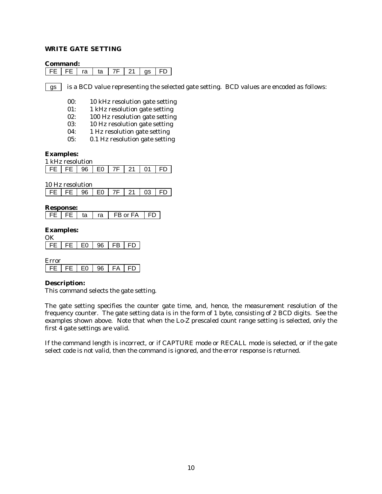## **WRITE GATE SETTING**

#### **Command:**

|  |  | FE   FE   ra   ta   7F   21   gs   FD |  |  |
|--|--|---------------------------------------|--|--|
|  |  |                                       |  |  |

is a BCD value representing the selected gate setting. BCD values are encoded as follows: gs

- 00: 10 kHz resolution gate setting
- 01: 1 kHz resolution gate setting
- 02: 100 Hz resolution gate setting
- 03: 10 Hz resolution gate setting
- 04: 1 Hz resolution gate setting
- 05: 0.1 Hz resolution gate setting

## **Examples:**

| 1 kHz resolution       |  |    |         |  |  |  |  |  |  |  |  |
|------------------------|--|----|---------|--|--|--|--|--|--|--|--|
| $FE$ $FE$ $1.96$ $1.1$ |  | F٥ | 7F I 21 |  |  |  |  |  |  |  |  |

10 Hz resolution

| FE   96   E0 |  | 7F   21   03   FD |  |  |  |
|--------------|--|-------------------|--|--|--|
|--------------|--|-------------------|--|--|--|

## **Response:**

| ta<br>ra | FB or FA |  |
|----------|----------|--|
|----------|----------|--|

## **Examples:**

| FF | ⊏∩ | c | FB - | . . |
|----|----|---|------|-----|

Error | FE | FE | E0 | 96 | FA | FD

# **Description:**

This command selects the gate setting.

The gate setting specifies the counter gate time, and, hence, the measurement resolution of the frequency counter. The gate setting data is in the form of 1 byte, consisting of 2 BCD digits. See the examples shown above. Note that when the Lo-Z prescaled count range setting is selected, only the first 4 gate settings are valid.

If the command length is incorrect, or if CAPTURE mode or RECALL mode is selected, or if the gate select code is not valid, then the command is ignored, and the error response is returned.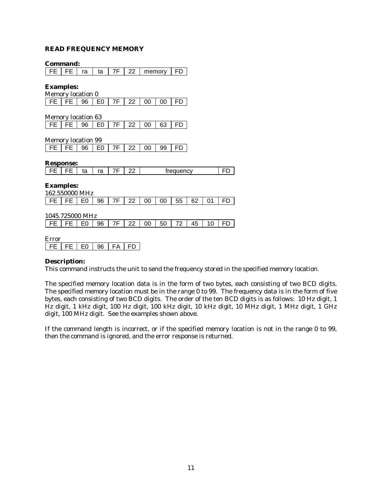## **READ FREQUENCY MEMORY**

|                           | Command: |    |                |    |    |        |    |    |  |  |  |
|---------------------------|----------|----|----------------|----|----|--------|----|----|--|--|--|
| FE                        | FE       | ra | ta             | 7F | 22 | memory |    | FD |  |  |  |
|                           |          |    |                |    |    |        |    |    |  |  |  |
| <b>Examples:</b>          |          |    |                |    |    |        |    |    |  |  |  |
| Memory location 0         |          |    |                |    |    |        |    |    |  |  |  |
| l FE                      | FE.      | 96 | E <sub>0</sub> | 7F | 22 | 00     | 00 | FD |  |  |  |
|                           |          |    |                |    |    |        |    |    |  |  |  |
| <b>Memory location 63</b> |          |    |                |    |    |        |    |    |  |  |  |
| l FEI                     | l FE     | 96 | E <sub>0</sub> | 7F | 22 | 00     | 63 |    |  |  |  |
|                           |          |    |                |    |    |        |    |    |  |  |  |
| <b>Memory location 99</b> |          |    |                |    |    |        |    |    |  |  |  |

| <b>IVICHIUI V IUCALIUII JJ</b> |  |  |                                                                            |  |  |  |  |  |  |
|--------------------------------|--|--|----------------------------------------------------------------------------|--|--|--|--|--|--|
|                                |  |  | FF $\left $ FF $\right $ 96 $\left $ F0 $\right $ 7F $\left $ 22 $\right $ |  |  |  |  |  |  |

## **Response:**

|  | . . | <br>ື | <br>٠α |  | -- | trequency |  |
|--|-----|-------|--------|--|----|-----------|--|
|--|-----|-------|--------|--|----|-----------|--|

| 162.550000 MHz                                            |  |  |  |  |  |  |  |  |  |  |
|-----------------------------------------------------------|--|--|--|--|--|--|--|--|--|--|
| FE   FE   E0   96   7F   22   00   00   55   62   01   FD |  |  |  |  |  |  |  |  |  |  |

1045.725000 MHz

|--|--|--|--|

Error FE FE E0 96 FA FD

#### **Description:**

This command instructs the unit to send the frequency stored in the specified memory location.

The specified memory location data is in the form of two bytes, each consisting of two BCD digits. The specified memory location must be in the range 0 to 99. The frequency data is in the form of five bytes, each consisting of two BCD digits. The order of the ten BCD digits is as follows: 10 Hz digit, 1 Hz digit, 1 kHz digit, 100 Hz digit, 100 kHz digit, 10 kHz digit, 10 MHz digit, 1 MHz digit, 1 GHz digit, 100 MHz digit. See the examples shown above.

If the command length is incorrect, or if the specified memory location is not in the range 0 to 99, then the command is ignored, and the error response is returned.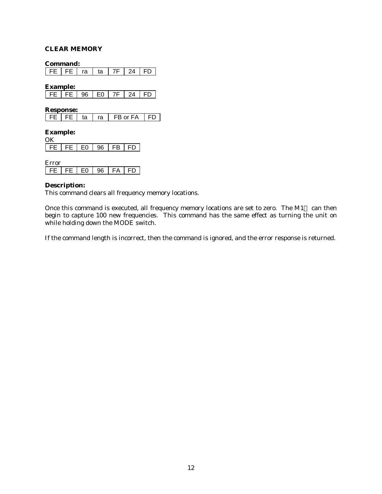## **CLEAR MEMORY**

**Command:**

 $\sqrt{FE}$  FE  $ra$  ta  $7F$  24 FD

**Example:**

| $\mathbf{I}$ |  | $\sim$<br>- | 7 F | ı A |  |
|--------------|--|-------------|-----|-----|--|

**Response:**

|  |  | ta | ra | FB or FA |  |
|--|--|----|----|----------|--|
|--|--|----|----|----------|--|

**Example:**  $\overline{X}$ 

| . |    |    |                              |  |
|---|----|----|------------------------------|--|
|   | E0 | 96 | — r<br>$\overline{ }$<br>'N. |  |

| ີ<br>- 1 |  |  |  |  |   |  |  |  |  |
|----------|--|--|--|--|---|--|--|--|--|
|          |  |  |  |  | Δ |  |  |  |  |

#### **Description:**

This command clears all frequency memory locations.

Once this command is executed, all frequency memory locations are set to zero. The M1<sup>TM</sup> can then begin to capture 100 new frequencies. This command has the same effect as turning the unit on while holding down the MODE switch.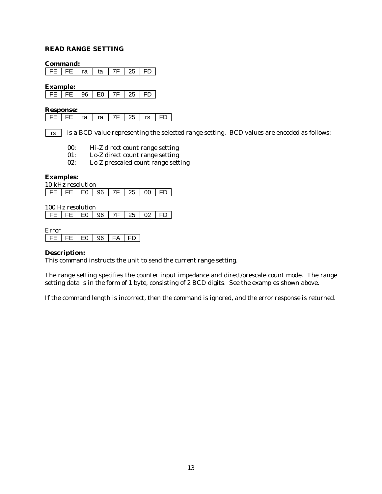## **READ RANGE SETTING**

**Command:**

 $\sqrt{FE}$  FE  $ra$  ta  $7F$  25 FD

**Example:**

| $\mathbf{I}$ | 96 L' | ∼ | 25. |  |
|--------------|-------|---|-----|--|

#### **Response:**

is a BCD value representing the selected range setting. BCD values are encoded as follows: rs

- 00: Hi-Z direct count range setting
- 01: Lo-Z direct count range setting
- 02: Lo-Z prescaled count range setting

#### **Examples:**

10 kHz resolution FE FE E0 96 7F 25 00 FD

100 Hz resolution

| FE   FE   E0   96   7F   25   02   FD |  |  |  |  |  |  |
|---------------------------------------|--|--|--|--|--|--|
|---------------------------------------|--|--|--|--|--|--|

Error

FE FE E0 96 FA FD

#### **Description:**

This command instructs the unit to send the current range setting.

The range setting specifies the counter input impedance and direct/prescale count mode. The range setting data is in the form of 1 byte, consisting of 2 BCD digits. See the examples shown above.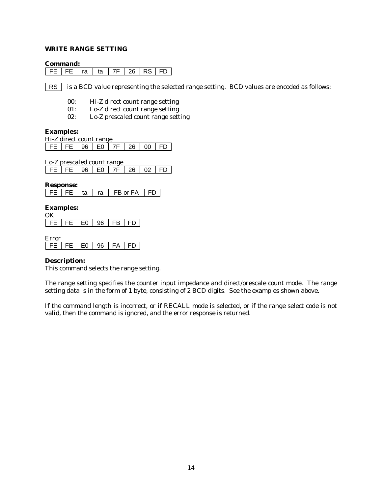# **WRITE RANGE SETTING**

#### **Command:**

 $FE$  FE  $ra$  ta  $7F$  26 RS FD

is a BCD value representing the selected range setting. BCD values are encoded as follows: RS |

- 00: Hi-Z direct count range setting
- 01: Lo-Z direct count range setting
- 02: Lo-Z prescaled count range setting

#### **Examples:**

| Hi-Z direct count range |  |  |  |  |                                       |  |  |  |  |
|-------------------------|--|--|--|--|---------------------------------------|--|--|--|--|
|                         |  |  |  |  | FE   FE   96   E0   7F   26   00   FD |  |  |  |  |

Lo-Z prescaled count range

| FE   FE   96   E0   7F   26   02   FD |  |  |  |  |  |  |  |
|---------------------------------------|--|--|--|--|--|--|--|
|---------------------------------------|--|--|--|--|--|--|--|

**Response:**

|  | ົ | A |  |
|--|---|---|--|
|--|---|---|--|

## **Examples:**

|  |  |  |  |  | FE $ FE E0 96 FB FD$ |  |  |  |  |
|--|--|--|--|--|----------------------|--|--|--|--|

Error

## **Description:**

This command selects the range setting.

The range setting specifies the counter input impedance and direct/prescale count mode. The range setting data is in the form of 1 byte, consisting of 2 BCD digits. See the examples shown above.

If the command length is incorrect, or if RECALL mode is selected, or if the range select code is not valid, then the command is ignored, and the error response is returned.